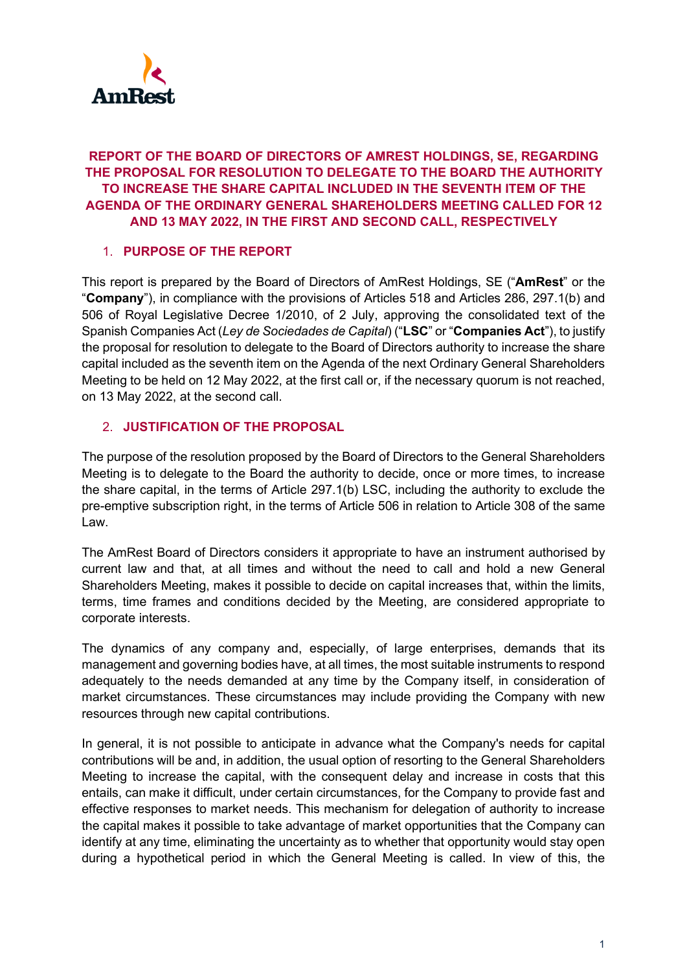

## **REPORT OF THE BOARD OF DIRECTORS OF AMREST HOLDINGS, SE, REGARDING THE PROPOSAL FOR RESOLUTION TO DELEGATE TO THE BOARD THE AUTHORITY TO INCREASE THE SHARE CAPITAL INCLUDED IN THE SEVENTH ITEM OF THE AGENDA OF THE ORDINARY GENERAL SHAREHOLDERS MEETING CALLED FOR 12 AND 13 MAY 2022, IN THE FIRST AND SECOND CALL, RESPECTIVELY**

## 1. **PURPOSE OF THE REPORT**

This report is prepared by the Board of Directors of AmRest Holdings, SE ("**AmRest**" or the "**Company**"), in compliance with the provisions of Articles 518 and Articles 286, 297.1(b) and 506 of Royal Legislative Decree 1/2010, of 2 July, approving the consolidated text of the Spanish Companies Act (*Ley de Sociedades de Capital*) ("**LSC**" or "**Companies Act**"), to justify the proposal for resolution to delegate to the Board of Directors authority to increase the share capital included as the seventh item on the Agenda of the next Ordinary General Shareholders Meeting to be held on 12 May 2022, at the first call or, if the necessary quorum is not reached, on 13 May 2022, at the second call.

## 2. **JUSTIFICATION OF THE PROPOSAL**

The purpose of the resolution proposed by the Board of Directors to the General Shareholders Meeting is to delegate to the Board the authority to decide, once or more times, to increase the share capital, in the terms of Article 297.1(b) LSC, including the authority to exclude the pre-emptive subscription right, in the terms of Article 506 in relation to Article 308 of the same Law.

The AmRest Board of Directors considers it appropriate to have an instrument authorised by current law and that, at all times and without the need to call and hold a new General Shareholders Meeting, makes it possible to decide on capital increases that, within the limits, terms, time frames and conditions decided by the Meeting, are considered appropriate to corporate interests.

The dynamics of any company and, especially, of large enterprises, demands that its management and governing bodies have, at all times, the most suitable instruments to respond adequately to the needs demanded at any time by the Company itself, in consideration of market circumstances. These circumstances may include providing the Company with new resources through new capital contributions.

In general, it is not possible to anticipate in advance what the Company's needs for capital contributions will be and, in addition, the usual option of resorting to the General Shareholders Meeting to increase the capital, with the consequent delay and increase in costs that this entails, can make it difficult, under certain circumstances, for the Company to provide fast and effective responses to market needs. This mechanism for delegation of authority to increase the capital makes it possible to take advantage of market opportunities that the Company can identify at any time, eliminating the uncertainty as to whether that opportunity would stay open during a hypothetical period in which the General Meeting is called. In view of this, the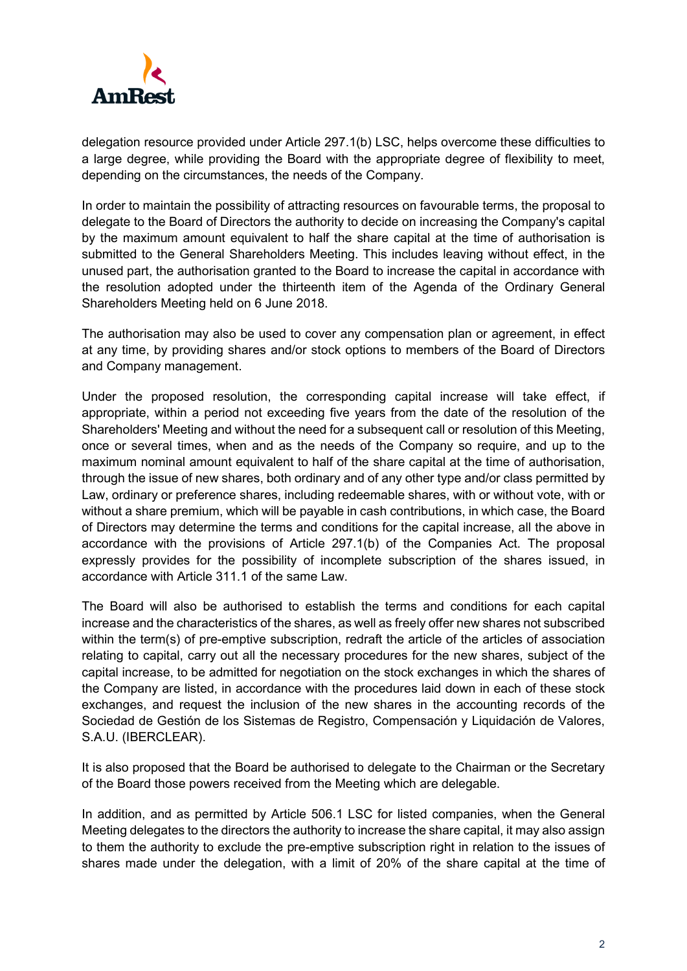

delegation resource provided under Article 297.1(b) LSC, helps overcome these difficulties to a large degree, while providing the Board with the appropriate degree of flexibility to meet, depending on the circumstances, the needs of the Company.

In order to maintain the possibility of attracting resources on favourable terms, the proposal to delegate to the Board of Directors the authority to decide on increasing the Company's capital by the maximum amount equivalent to half the share capital at the time of authorisation is submitted to the General Shareholders Meeting. This includes leaving without effect, in the unused part, the authorisation granted to the Board to increase the capital in accordance with the resolution adopted under the thirteenth item of the Agenda of the Ordinary General Shareholders Meeting held on 6 June 2018.

The authorisation may also be used to cover any compensation plan or agreement, in effect at any time, by providing shares and/or stock options to members of the Board of Directors and Company management.

Under the proposed resolution, the corresponding capital increase will take effect, if appropriate, within a period not exceeding five years from the date of the resolution of the Shareholders' Meeting and without the need for a subsequent call or resolution of this Meeting, once or several times, when and as the needs of the Company so require, and up to the maximum nominal amount equivalent to half of the share capital at the time of authorisation, through the issue of new shares, both ordinary and of any other type and/or class permitted by Law, ordinary or preference shares, including redeemable shares, with or without vote, with or without a share premium, which will be payable in cash contributions, in which case, the Board of Directors may determine the terms and conditions for the capital increase, all the above in accordance with the provisions of Article 297.1(b) of the Companies Act. The proposal expressly provides for the possibility of incomplete subscription of the shares issued, in accordance with Article 311.1 of the same Law.

The Board will also be authorised to establish the terms and conditions for each capital increase and the characteristics of the shares, as well as freely offer new shares not subscribed within the term(s) of pre-emptive subscription, redraft the article of the articles of association relating to capital, carry out all the necessary procedures for the new shares, subject of the capital increase, to be admitted for negotiation on the stock exchanges in which the shares of the Company are listed, in accordance with the procedures laid down in each of these stock exchanges, and request the inclusion of the new shares in the accounting records of the Sociedad de Gestión de los Sistemas de Registro, Compensación y Liquidación de Valores, S.A.U. (IBERCLEAR).

It is also proposed that the Board be authorised to delegate to the Chairman or the Secretary of the Board those powers received from the Meeting which are delegable.

In addition, and as permitted by Article 506.1 LSC for listed companies, when the General Meeting delegates to the directors the authority to increase the share capital, it may also assign to them the authority to exclude the pre-emptive subscription right in relation to the issues of shares made under the delegation, with a limit of 20% of the share capital at the time of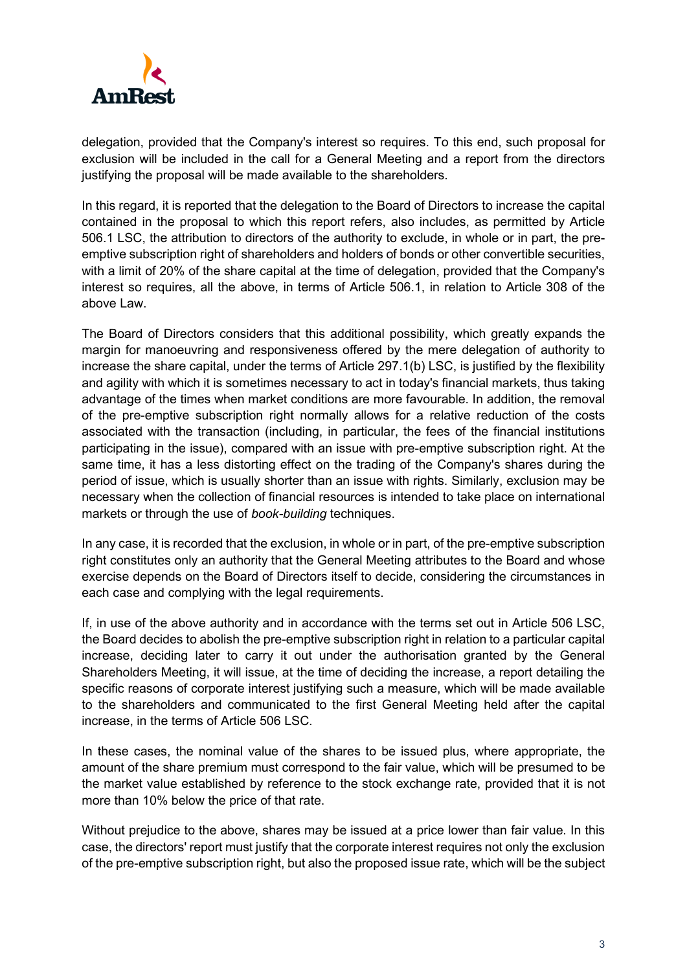

delegation, provided that the Company's interest so requires. To this end, such proposal for exclusion will be included in the call for a General Meeting and a report from the directors justifying the proposal will be made available to the shareholders.

In this regard, it is reported that the delegation to the Board of Directors to increase the capital contained in the proposal to which this report refers, also includes, as permitted by Article 506.1 LSC, the attribution to directors of the authority to exclude, in whole or in part, the preemptive subscription right of shareholders and holders of bonds or other convertible securities, with a limit of 20% of the share capital at the time of delegation, provided that the Company's interest so requires, all the above, in terms of Article 506.1, in relation to Article 308 of the above Law.

The Board of Directors considers that this additional possibility, which greatly expands the margin for manoeuvring and responsiveness offered by the mere delegation of authority to increase the share capital, under the terms of Article 297.1(b) LSC, is justified by the flexibility and agility with which it is sometimes necessary to act in today's financial markets, thus taking advantage of the times when market conditions are more favourable. In addition, the removal of the pre-emptive subscription right normally allows for a relative reduction of the costs associated with the transaction (including, in particular, the fees of the financial institutions participating in the issue), compared with an issue with pre-emptive subscription right. At the same time, it has a less distorting effect on the trading of the Company's shares during the period of issue, which is usually shorter than an issue with rights. Similarly, exclusion may be necessary when the collection of financial resources is intended to take place on international markets or through the use of *book-building* techniques.

In any case, it is recorded that the exclusion, in whole or in part, of the pre-emptive subscription right constitutes only an authority that the General Meeting attributes to the Board and whose exercise depends on the Board of Directors itself to decide, considering the circumstances in each case and complying with the legal requirements.

If, in use of the above authority and in accordance with the terms set out in Article 506 LSC, the Board decides to abolish the pre-emptive subscription right in relation to a particular capital increase, deciding later to carry it out under the authorisation granted by the General Shareholders Meeting, it will issue, at the time of deciding the increase, a report detailing the specific reasons of corporate interest justifying such a measure, which will be made available to the shareholders and communicated to the first General Meeting held after the capital increase, in the terms of Article 506 LSC.

In these cases, the nominal value of the shares to be issued plus, where appropriate, the amount of the share premium must correspond to the fair value, which will be presumed to be the market value established by reference to the stock exchange rate, provided that it is not more than 10% below the price of that rate.

Without prejudice to the above, shares may be issued at a price lower than fair value. In this case, the directors' report must justify that the corporate interest requires not only the exclusion of the pre-emptive subscription right, but also the proposed issue rate, which will be the subject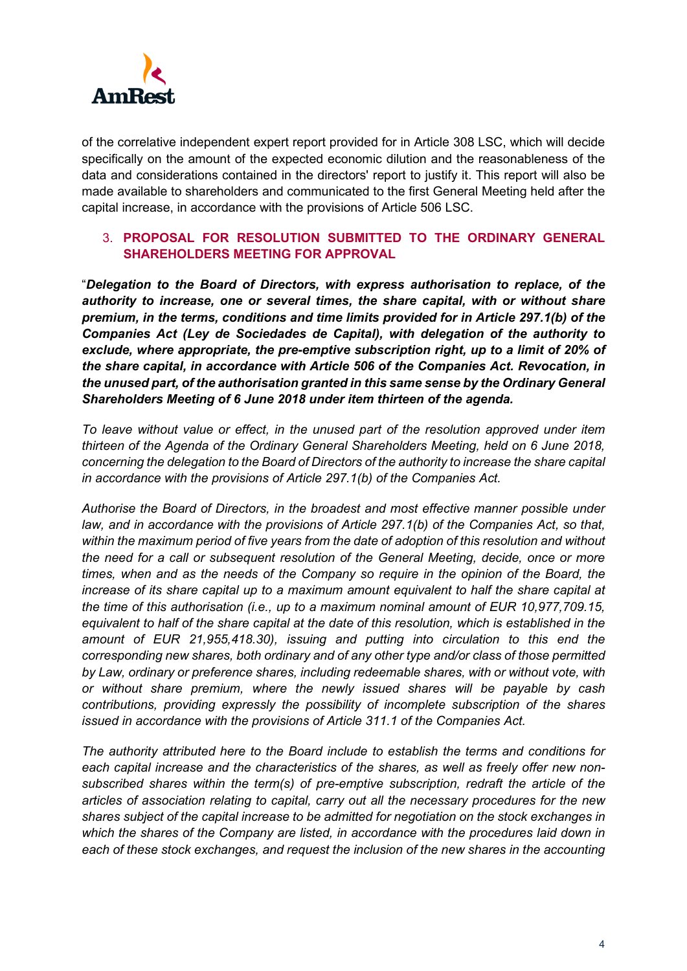

of the correlative independent expert report provided for in Article 308 LSC, which will decide specifically on the amount of the expected economic dilution and the reasonableness of the data and considerations contained in the directors' report to justify it. This report will also be made available to shareholders and communicated to the first General Meeting held after the capital increase, in accordance with the provisions of Article 506 LSC.

## 3. **PROPOSAL FOR RESOLUTION SUBMITTED TO THE ORDINARY GENERAL SHAREHOLDERS MEETING FOR APPROVAL**

"*Delegation to the Board of Directors, with express authorisation to replace, of the authority to increase, one or several times, the share capital, with or without share premium, in the terms, conditions and time limits provided for in Article 297.1(b) of the Companies Act (Ley de Sociedades de Capital), with delegation of the authority to exclude, where appropriate, the pre-emptive subscription right, up to a limit of 20% of the share capital, in accordance with Article 506 of the Companies Act. Revocation, in the unused part, of the authorisation granted in this same sense by the Ordinary General Shareholders Meeting of 6 June 2018 under item thirteen of the agenda.* 

*To leave without value or effect, in the unused part of the resolution approved under item thirteen of the Agenda of the Ordinary General Shareholders Meeting, held on 6 June 2018, concerning the delegation to the Board of Directors of the authority to increase the share capital in accordance with the provisions of Article 297.1(b) of the Companies Act.*

*Authorise the Board of Directors, in the broadest and most effective manner possible under law, and in accordance with the provisions of Article 297.1(b) of the Companies Act, so that, within the maximum period of five years from the date of adoption of this resolution and without the need for a call or subsequent resolution of the General Meeting, decide, once or more times, when and as the needs of the Company so require in the opinion of the Board, the increase of its share capital up to a maximum amount equivalent to half the share capital at the time of this authorisation (i.e., up to a maximum nominal amount of EUR 10,977,709.15, equivalent to half of the share capital at the date of this resolution, which is established in the amount of EUR 21,955,418.30), issuing and putting into circulation to this end the corresponding new shares, both ordinary and of any other type and/or class of those permitted by Law, ordinary or preference shares, including redeemable shares, with or without vote, with or without share premium, where the newly issued shares will be payable by cash contributions, providing expressly the possibility of incomplete subscription of the shares issued in accordance with the provisions of Article 311.1 of the Companies Act.* 

*The authority attributed here to the Board include to establish the terms and conditions for each capital increase and the characteristics of the shares, as well as freely offer new nonsubscribed shares within the term(s) of pre-emptive subscription, redraft the article of the articles of association relating to capital, carry out all the necessary procedures for the new shares subject of the capital increase to be admitted for negotiation on the stock exchanges in which the shares of the Company are listed, in accordance with the procedures laid down in each of these stock exchanges, and request the inclusion of the new shares in the accounting*